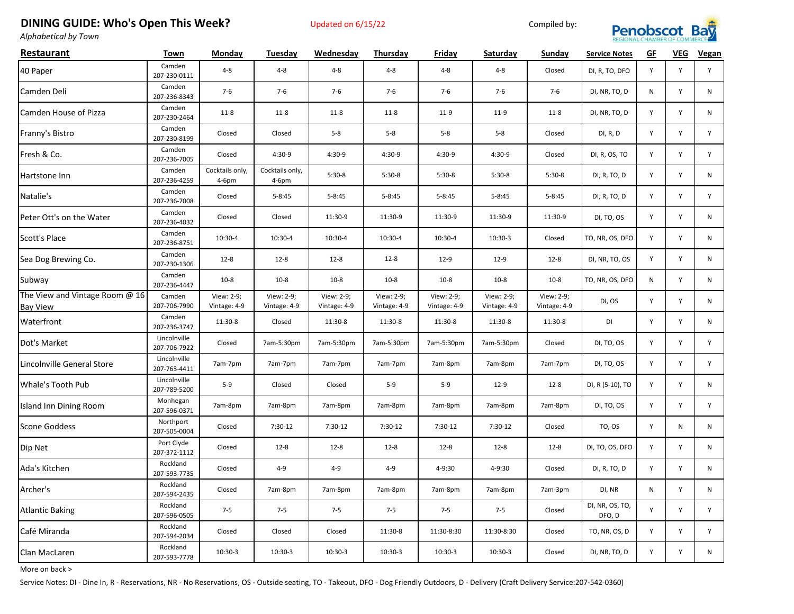## **DINING GUIDE: Who's Open This Week?** Updated on 6/15/22 Compiled by:



*Alphabetical by Town*

| Restaurant                                        | Town                         | Monday                     | Tuesday                    | Wednesday                  | Thursday                   | Friday                     | Saturday                   | Sunday                     | <b>Service Notes</b>      | GF | <b>VEG</b>  | <b>Vegan</b> |
|---------------------------------------------------|------------------------------|----------------------------|----------------------------|----------------------------|----------------------------|----------------------------|----------------------------|----------------------------|---------------------------|----|-------------|--------------|
| 40 Paper                                          | Camden<br>207-230-0111       | $4 - 8$                    | $4 - 8$                    | $4 - 8$                    | $4 - 8$                    | $4 - 8$                    | $4 - 8$                    | Closed                     | DI, R, TO, DFO            | Y  | Y           | Y            |
| Camden Deli                                       | Camden<br>207-236-8343       | $7-6$                      | $7-6$                      | $7-6$                      | $7-6$                      | $7-6$                      | $7-6$                      | $7-6$                      | DI, NR, TO, D             | N  | Y           | N            |
| Camden House of Pizza                             | Camden<br>207-230-2464       | $11 - 8$                   | $11 - 8$                   | $11 - 8$                   | $11 - 8$                   | $11-9$                     | $11-9$                     | $11-8$                     | DI, NR, TO, D             | Y  | Y           | N            |
| Franny's Bistro                                   | Camden<br>207-230-8199       | Closed                     | Closed                     | $5 - 8$                    | $5 - 8$                    | $5-8$                      | $5 - 8$                    | Closed                     | DI, R, D                  | Y  | Y           | Y            |
| Fresh & Co.                                       | Camden<br>207-236-7005       | Closed                     | $4:30-9$                   | $4:30-9$                   | $4:30-9$                   | $4:30-9$                   | 4:30-9                     | Closed                     | DI, R, OS, TO             | Y  | Y           | Y            |
| Hartstone Inn                                     | Camden<br>207-236-4259       | Cocktails only,<br>$4-6pm$ | Cocktails only,<br>4-6pm   | $5:30-8$                   | $5:30-8$                   | $5:30-8$                   | $5:30-8$                   | $5:30-8$                   | DI, R, TO, D              | Y  | Y           | N            |
| Natalie's                                         | Camden<br>207-236-7008       | Closed                     | $5 - 8:45$                 | $5 - 8:45$                 | $5 - 8:45$                 | $5 - 8:45$                 | $5 - 8:45$                 | $5 - 8:45$                 | DI, R, TO, D              | Y  | Y           | Y            |
| Peter Ott's on the Water                          | Camden<br>207-236-4032       | Closed                     | Closed                     | 11:30-9                    | 11:30-9                    | 11:30-9                    | 11:30-9                    | 11:30-9                    | DI, TO, OS                | Y  | Y           | N            |
| Scott's Place                                     | Camden<br>207-236-8751       | 10:30-4                    | 10:30-4                    | 10:30-4                    | 10:30-4                    | 10:30-4                    | $10:30-3$                  | Closed                     | TO, NR, OS, DFO           | Y  | Y           | N            |
| Sea Dog Brewing Co.                               | Camden<br>207-230-1306       | $12 - 8$                   | $12 - 8$                   | $12 - 8$                   | $12 - 8$                   | $12-9$                     | $12-9$                     | $12 - 8$                   | DI, NR, TO, OS            | Y  | Y           | N            |
| Subway                                            | Camden<br>207-236-4447       | $10-8$                     | $10 - 8$                   | $10 - 8$                   | $10-8$                     | $10-8$                     | $10-8$                     | $10-8$                     | TO, NR, OS, DFO           | N  | Y           | N            |
| The View and Vintage Room @ 16<br><b>Bay View</b> | Camden<br>207-706-7990       | View: 2-9;<br>Vintage: 4-9 | View: 2-9;<br>Vintage: 4-9 | View: 2-9;<br>Vintage: 4-9 | View: 2-9;<br>Vintage: 4-9 | View: 2-9;<br>Vintage: 4-9 | View: 2-9;<br>Vintage: 4-9 | View: 2-9;<br>Vintage: 4-9 | DI, OS                    | Y  | $\mathsf Y$ | N            |
| Waterfront                                        | Camden<br>207-236-3747       | 11:30-8                    | Closed                     | 11:30-8                    | 11:30-8                    | 11:30-8                    | 11:30-8                    | 11:30-8                    | DI                        | Y  | Y           | N            |
| Dot's Market                                      | Lincolnville<br>207-706-7922 | Closed                     | 7am-5:30pm                 | 7am-5:30pm                 | 7am-5:30pm                 | 7am-5:30pm                 | 7am-5:30pm                 | Closed                     | DI, TO, OS                | Y  | Y           | Y            |
| Lincolnville General Store                        | Lincolnville<br>207-763-4411 | 7am-7pm                    | 7am-7pm                    | 7am-7pm                    | 7am-7pm                    | 7am-8pm                    | 7am-8pm                    | 7am-7pm                    | DI, TO, OS                | Y  | Y           | Y            |
| Whale's Tooth Pub                                 | Lincolnville<br>207-789-5200 | $5-9$                      | Closed                     | Closed                     | $5-9$                      | $5-9$                      | $12-9$                     | $12 - 8$                   | DI, R (5-10), TO          | Y  | Y           | N            |
| Island Inn Dining Room                            | Monhegan<br>207-596-0371     | 7am-8pm                    | 7am-8pm                    | 7am-8pm                    | 7am-8pm                    | 7am-8pm                    | 7am-8pm                    | 7am-8pm                    | DI, TO, OS                | Y  | Y           | Y            |
| <b>Scone Goddess</b>                              | Northport<br>207-505-0004    | Closed                     | $7:30-12$                  | 7:30-12                    | 7:30-12                    | $7:30-12$                  | $7:30-12$                  | Closed                     | TO, OS                    | Y  | N           | N            |
| Dip Net                                           | Port Clyde<br>207-372-1112   | Closed                     | $12 - 8$                   | $12 - 8$                   | $12 - 8$                   | $12 - 8$                   | $12 - 8$                   | $12 - 8$                   | DI, TO, OS, DFO           | Y  | Y           | N            |
| Ada's Kitchen                                     | Rockland<br>207-593-7735     | Closed                     | $4 - 9$                    | $4 - 9$                    | $4 - 9$                    | 4-9:30                     | 4-9:30                     | Closed                     | DI, R, TO, D              | Y  | Y           | N            |
| Archer's                                          | Rockland<br>207-594-2435     | Closed                     | 7am-8pm                    | 7am-8pm                    | 7am-8pm                    | 7am-8pm                    | 7am-8pm                    | 7am-3pm                    | DI, NR                    | N  | Y           | N            |
| <b>Atlantic Baking</b>                            | Rockland<br>207-596-0505     | $7 - 5$                    | $7 - 5$                    | $7 - 5$                    | $7 - 5$                    | $7 - 5$                    | $7 - 5$                    | Closed                     | DI, NR, OS, TO,<br>DFO, D | Y  | Y           | Y            |
| Café Miranda                                      | Rockland<br>207-594-2034     | Closed                     | Closed                     | Closed                     | 11:30-8                    | 11:30-8:30                 | 11:30-8:30                 | Closed                     | TO, NR, OS, D             | Y  | Y           | Y            |
| Clan MacLaren                                     | Rockland<br>207-593-7778     | 10:30-3                    | 10:30-3                    | $10:30-3$                  | $10:30-3$                  | $10:30-3$                  | 10:30-3                    | Closed                     | DI, NR, TO, D             | Y  | Y           | N            |

More on back >

Service Notes: DI - Dine In, R - Reservations, NR - No Reservations, OS - Outside seating, TO - Takeout, DFO - Dog Friendly Outdoors, D - Delivery (Craft Delivery Service:207-542-0360)